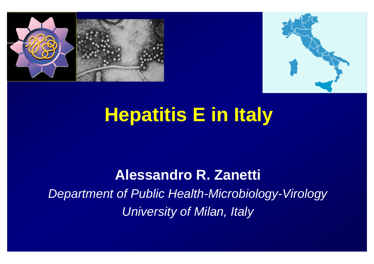



# **Hepatitis E in Italy**

#### **Alessandro R. Zanetti**

*Department of Public Health-Microbiology-Virology University of Milan, Italy*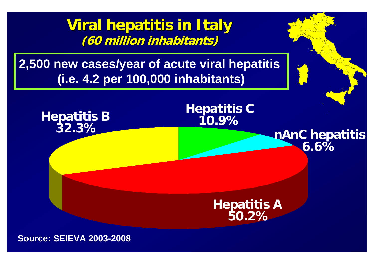**Viral hepatitis in Italy (60 million million inhabitants inhabitants)**

**2,500 new cases/year of acute viral hepatitis (i.e. 4.2 per 100,000 inhabitants)**



**Source: SEIEVA 2003-2008**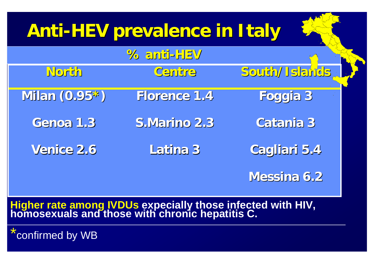#### **Anti-HEV prevalence in Italy**

|                   | % anti-HEV          |               |
|-------------------|---------------------|---------------|
| North             | Centre              | South/Islands |
| Milan $(0.95^*)$  | <b>Florence 1.4</b> | Foggia 3      |
| Genoa 1.3         | S.Marino 2.3        | Catania 3     |
| <b>Venice 2.6</b> | Latina 3            | Cagliari 5.4  |
|                   |                     | Messina 6.2   |

## **Higher rate among IVDUs expecially those infected with HIV, homosexuals and those with chronic hepatitis C.**

confirmed by WB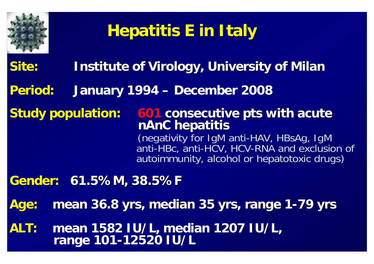

#### **Hepatitis E in Italy**

- **Site:** Institute of Virology, University of Milan
- **Period: Period:January 1994 – December 2008**
- **Study population: 601 consecutive pts with acute nAnC hepatitis** (negativity for IgM anti-HAV, HBsAg, IgM anti-HBc, anti-HCV, HCV-RNA and exclusion of autoimmunity, alcohol or hepatotoxic drugs)
- **Gender: Gender: 61.5%M, 38.5%F 61.5%M, 38.5%F**
- **Age: Age: mean 36.8 yrs, median 35 yrs, range 1 mean 36.8 yrs, median 35 yrs, range 1-79 yrs**
- **ALT: mean 1582 IU/L, median 1207 IU/L, range 101-12520 IU/L**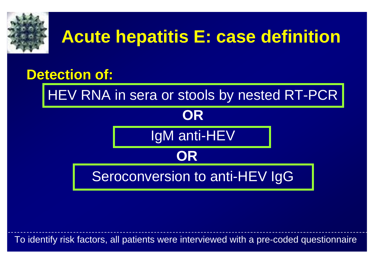

## **Acute hepatitis E: case definition**

#### **Detection of:**

HEV RNA in sera or stools by nested RT-PCR

## **OR**IgM anti-HEV **OR**Seroconversion to anti-HEV IgG

To identify risk factors, all patients were interviewed with a pre-coded questionnaire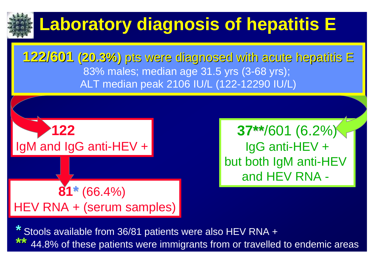

# **Laboratory diagnosis of hepatitis E**

**122/601 122/601 (20.3%) (20.3%)** ptswerediagnosed diagnosed withacute hepatitis hepatitis <sup>E</sup> 83% males; median age 31.5 yrs (3-68 yrs); ALT median peak 2106 IU/L (122-12290 IU/L)

**81\***(66.4%) HEV RNA + (serum samples) **122**IgM and IgG anti-HEV +

**37\*\***/601 (6.2%) IgG anti-HEV + but both IgM anti-HEV and HEV RNA -

**\***Stools available from 36/81 patients were also HEV RNA + 44.8% of these patients were immigrants from or travelled to endemic areas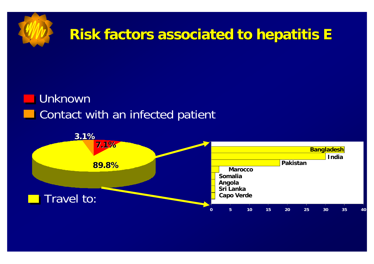

#### **Riskfactors factors associated associated tohepatitis hepatitis E**

#### Unknown **Contact with an infected patient**

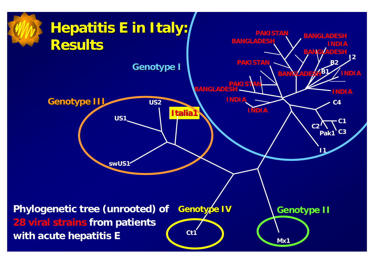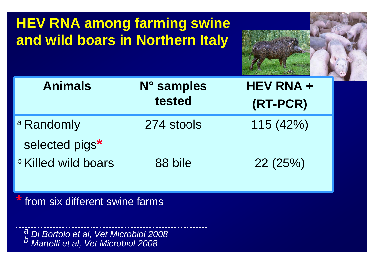**HEV RNA among farming swine and wild boars in Northern Italy**



| <b>Animals</b>             | N° samples | <b>HEV RNA +</b> |
|----------------------------|------------|------------------|
|                            | tested     | (RT-PCR)         |
| a Randomly                 | 274 stools | 115(42%)         |
| selected pigs*             |            |                  |
| <b>b Killed wild boars</b> | 88 bile    | 22(25%)          |

**\*** from six different swine farms

*a Di Bortolo et al, Vet Microbiol 2008 b Martelli et al, Vet Microbiol 2008*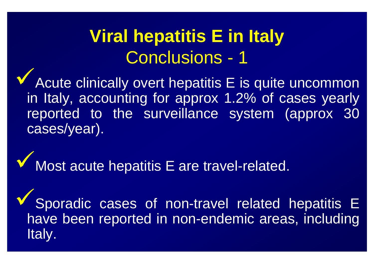## **Viral hepatitis E in Italy**  Conclusions - 1

**V** Acute clinically overt hepatitis E is quite uncommon in Italy, accounting for approx 1.2% of cases yearly reported to the surveillance system (approx 30 cases/year).

**V** Most acute hepatitis E are travel-related.

 $\checkmark$  Sporadic cases of non-travel related hepatitis E have been reported in non-endemic areas, including Italy.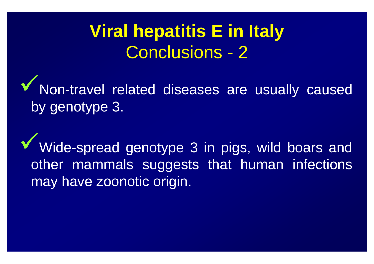### **Viral hepatitis E in Italy**  Conclusions - 2

9Non-travel related diseases are usually caused by genotype 3.

Wide-spread genotype 3 in pigs, wild boars and other mammals suggests that human infections may have zoonotic origin.